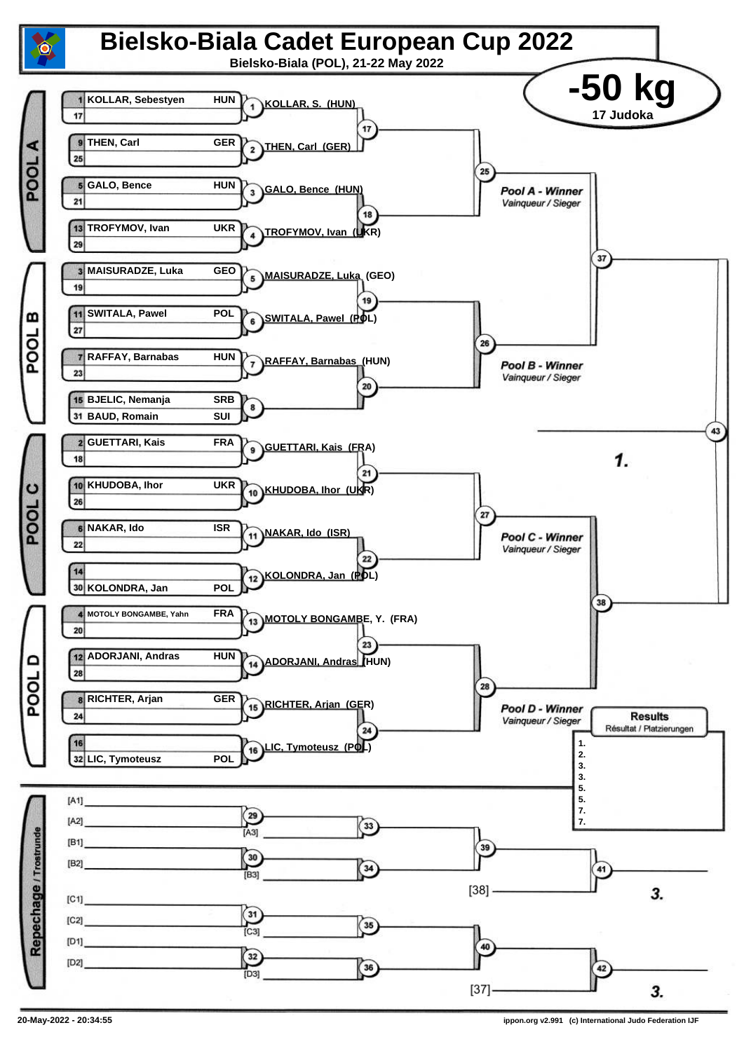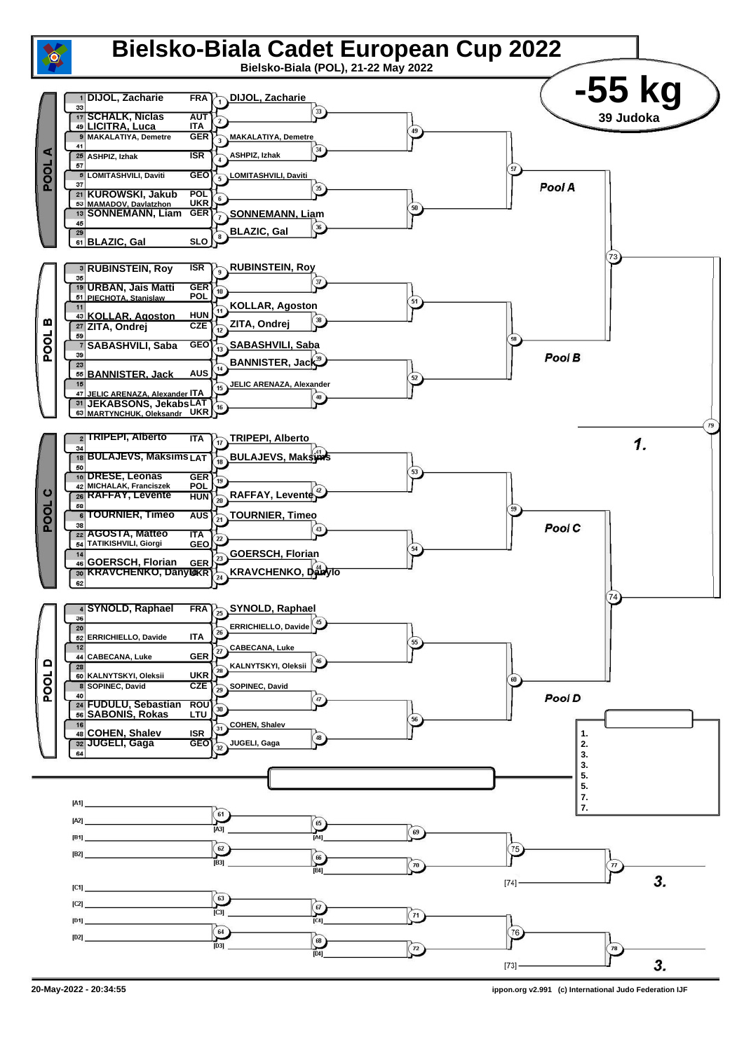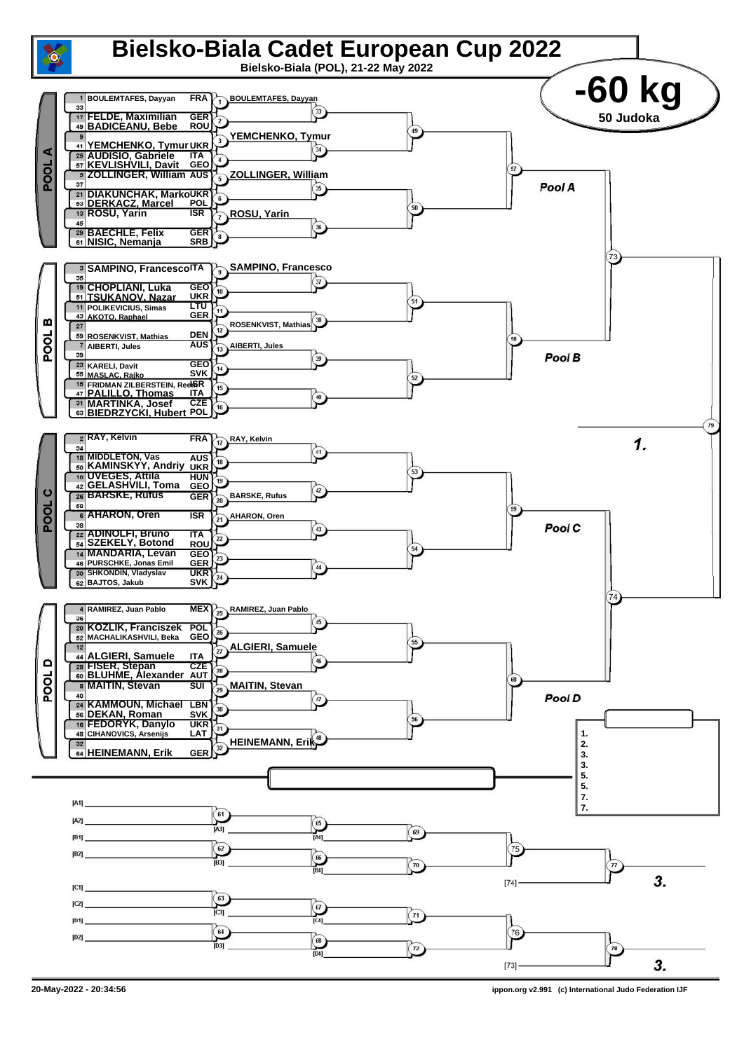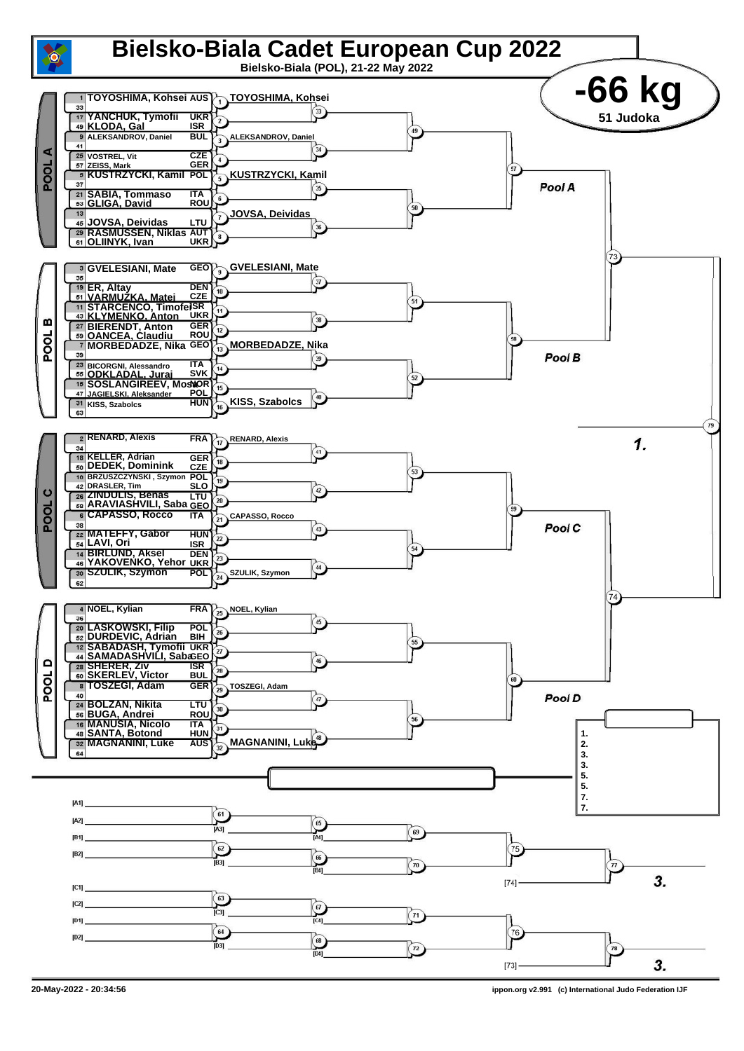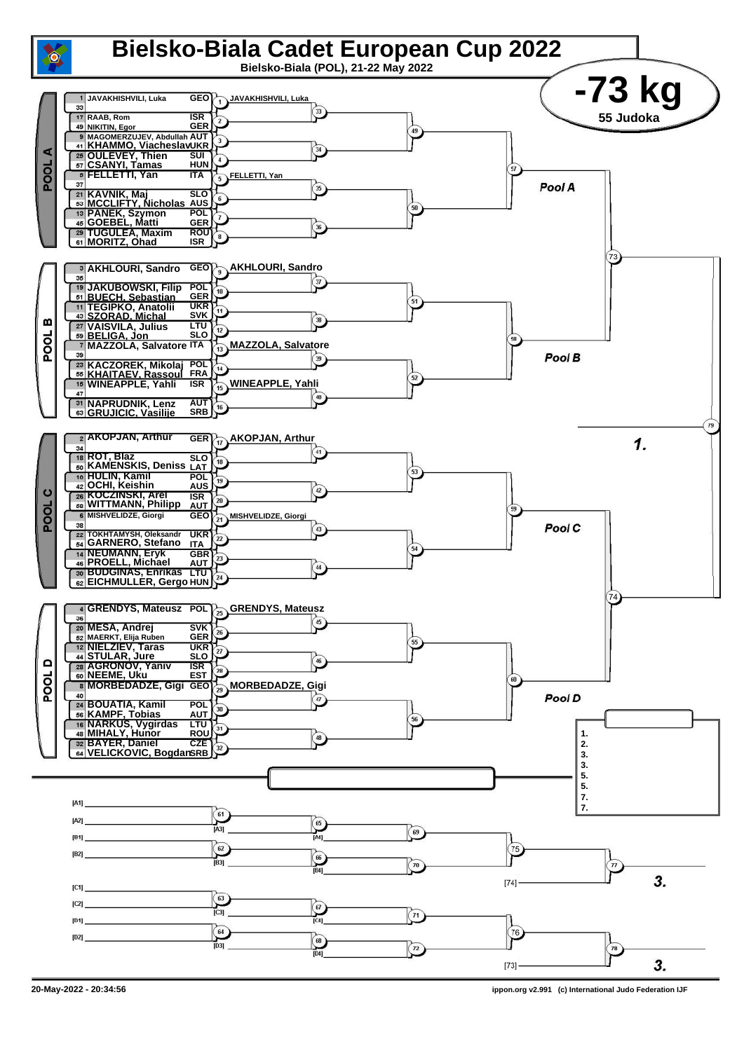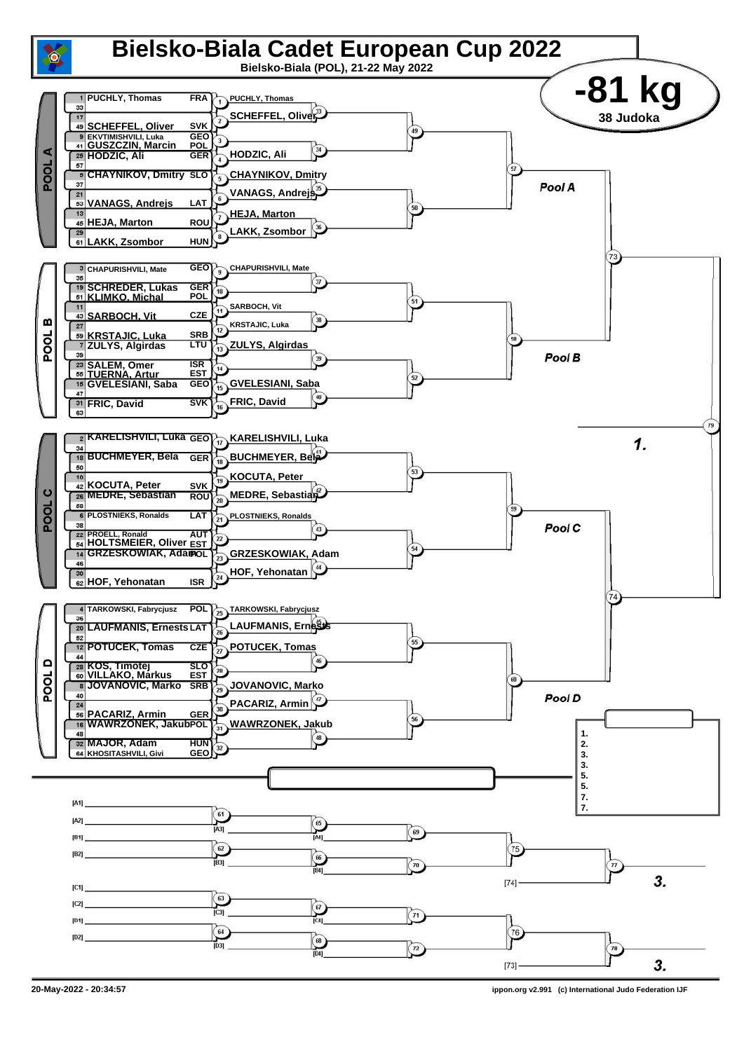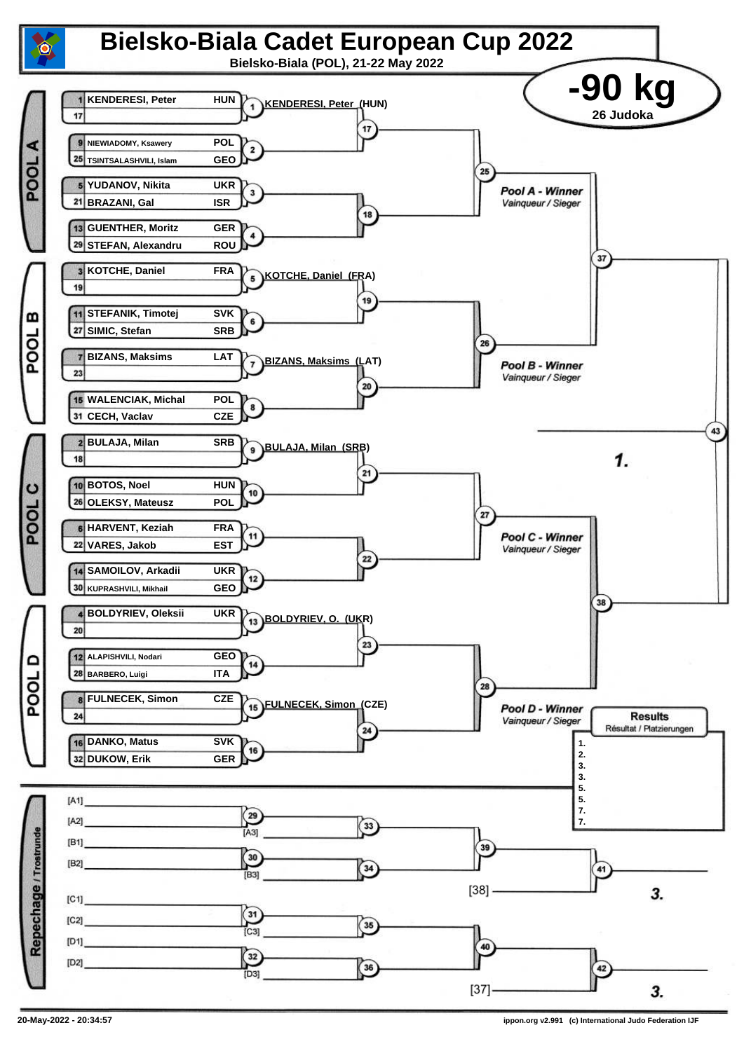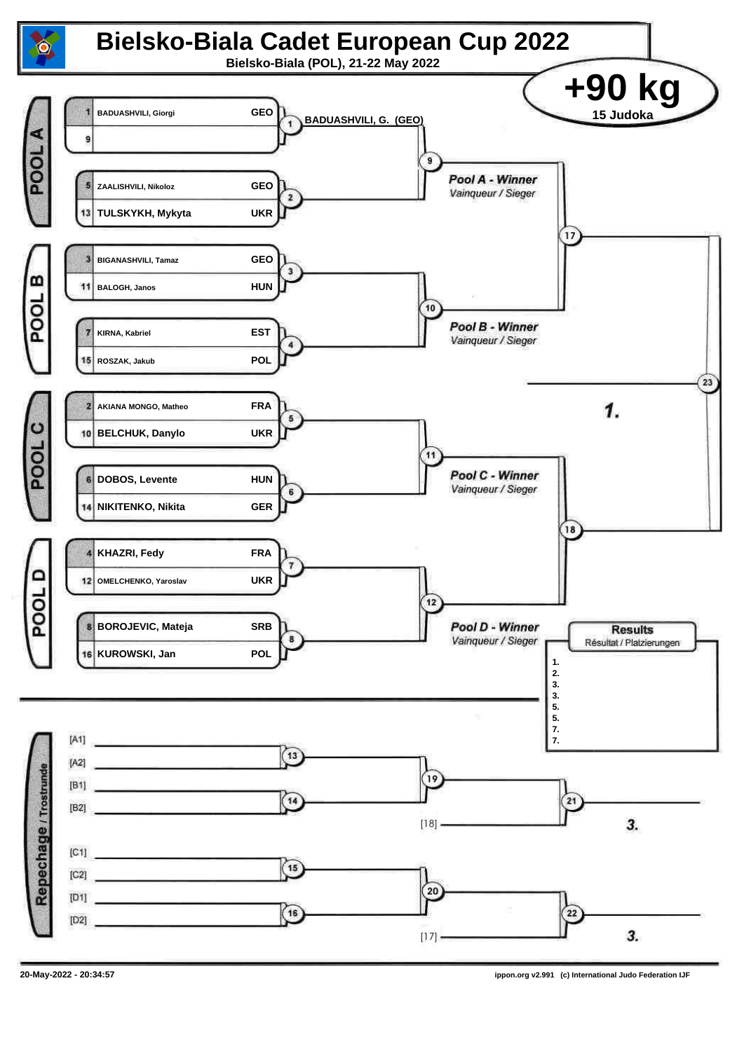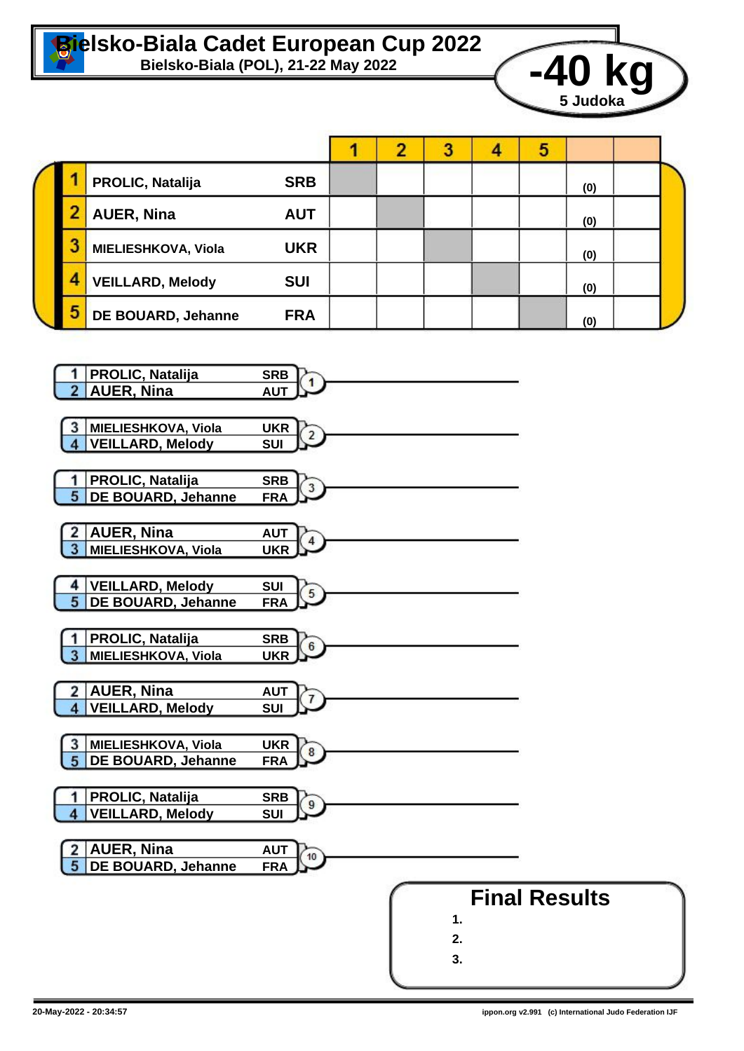

## **Bielsko-Biala Cadet European Cup 2022**



|  |   |                         |            |  |  |  |  | э |     |  |
|--|---|-------------------------|------------|--|--|--|--|---|-----|--|
|  |   | <b>PROLIC, Natalija</b> | <b>SRB</b> |  |  |  |  |   | (0) |  |
|  |   | <b>AUER, Nina</b>       | <b>AUT</b> |  |  |  |  |   | (0) |  |
|  | 3 | MIELIESHKOVA, Viola     | <b>UKR</b> |  |  |  |  |   | (0) |  |
|  |   | <b>VEILLARD, Melody</b> | <b>SUI</b> |  |  |  |  |   | (0) |  |
|  | 5 | DE BOUARD, Jehanne      | <b>FRA</b> |  |  |  |  |   | (0) |  |

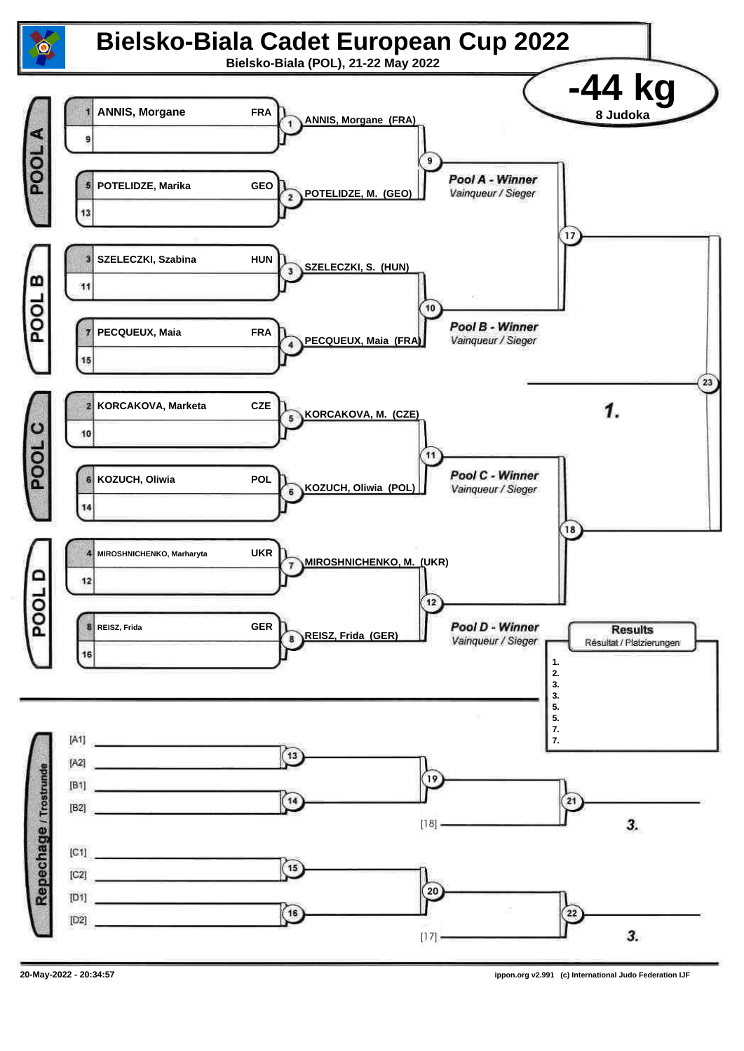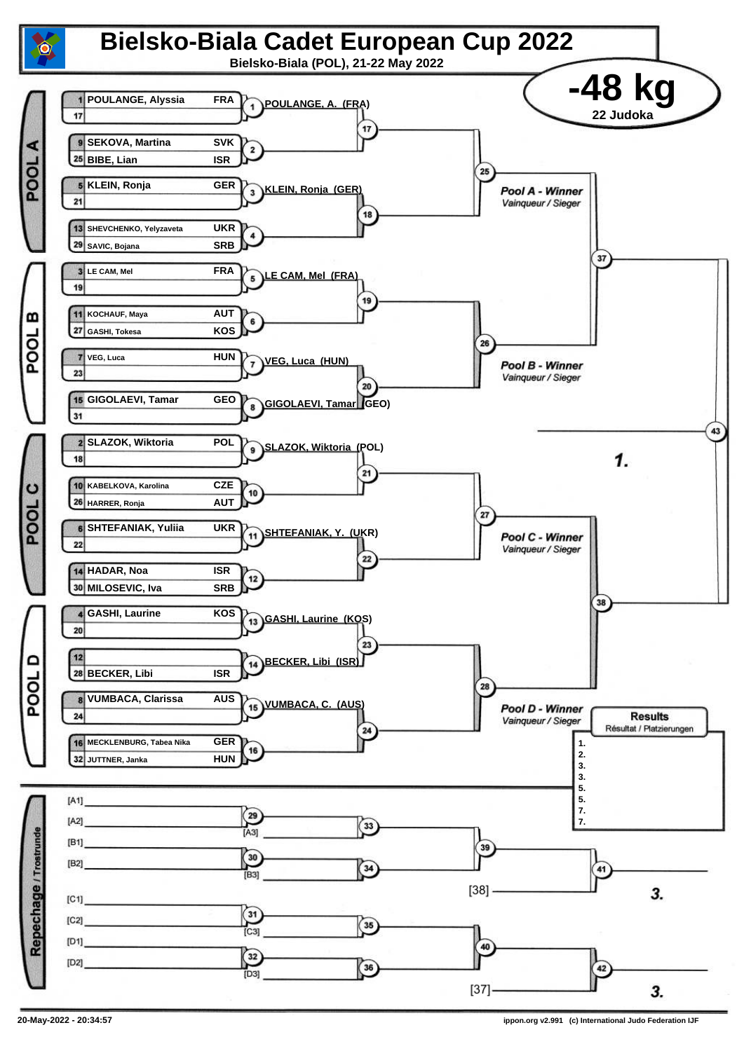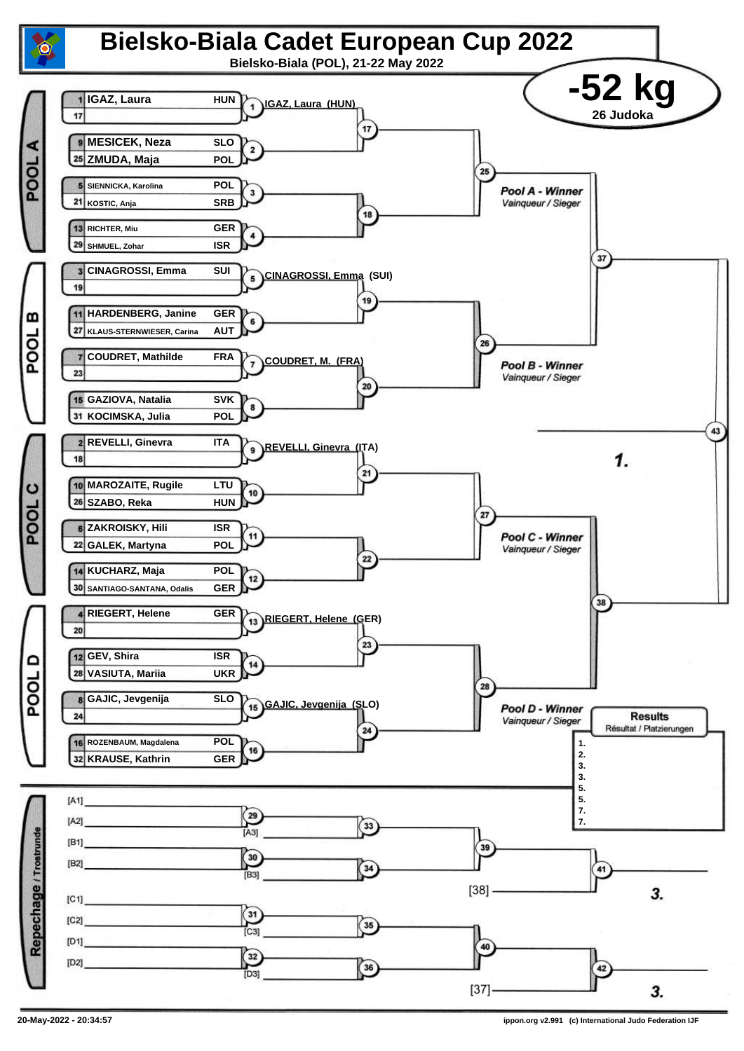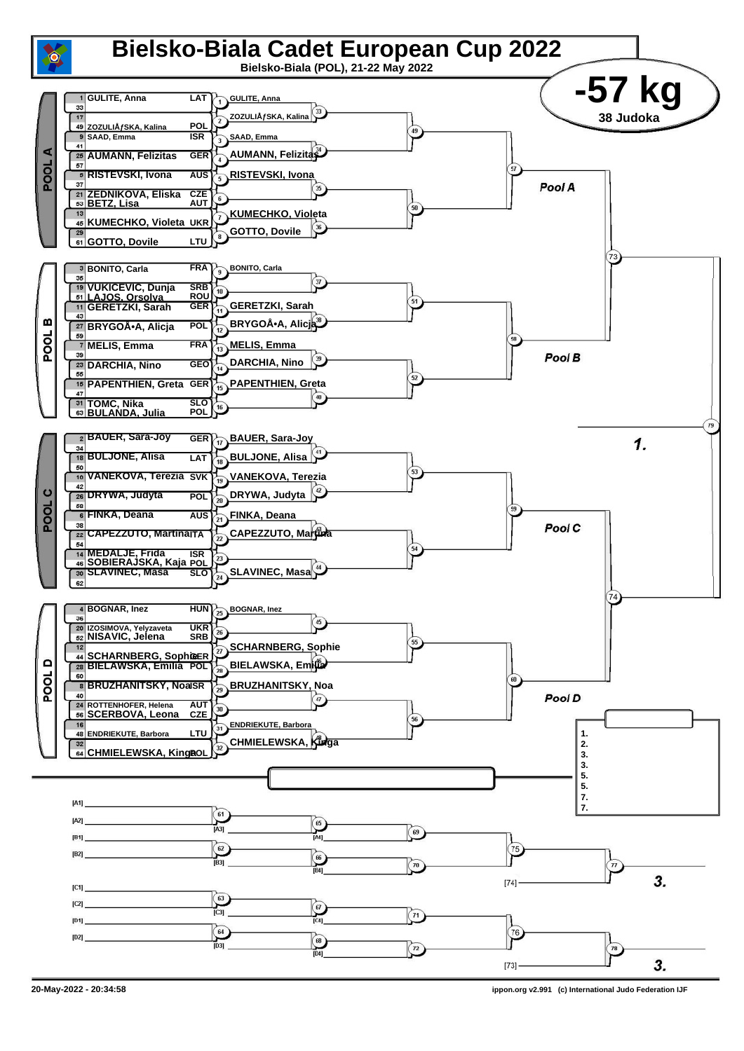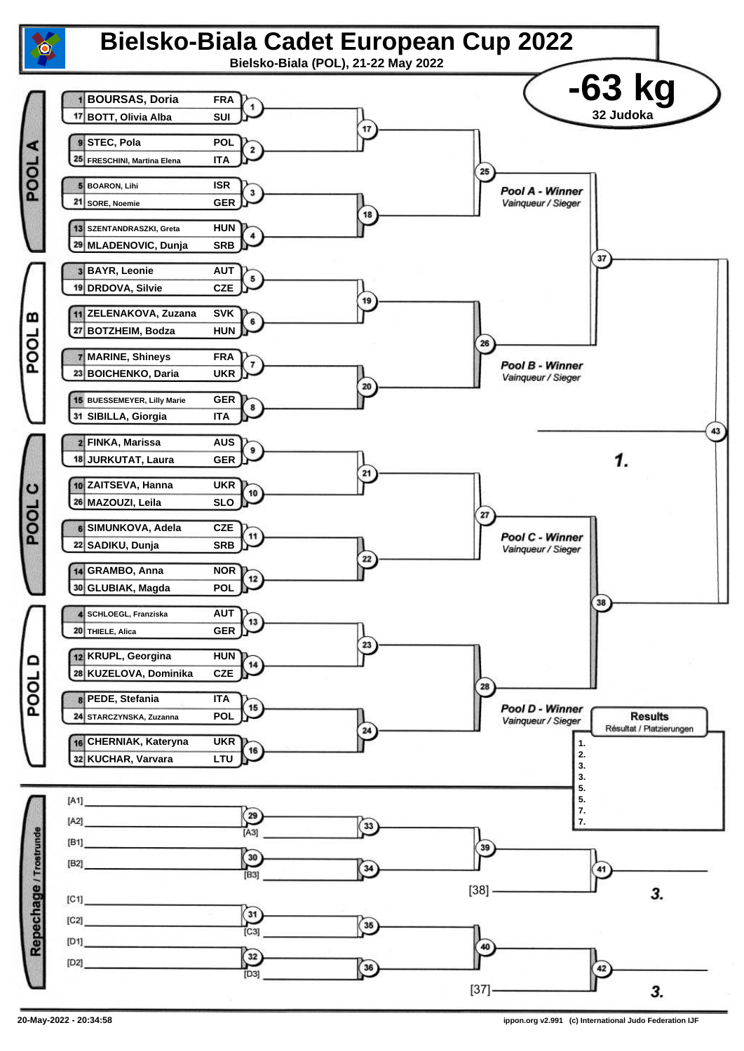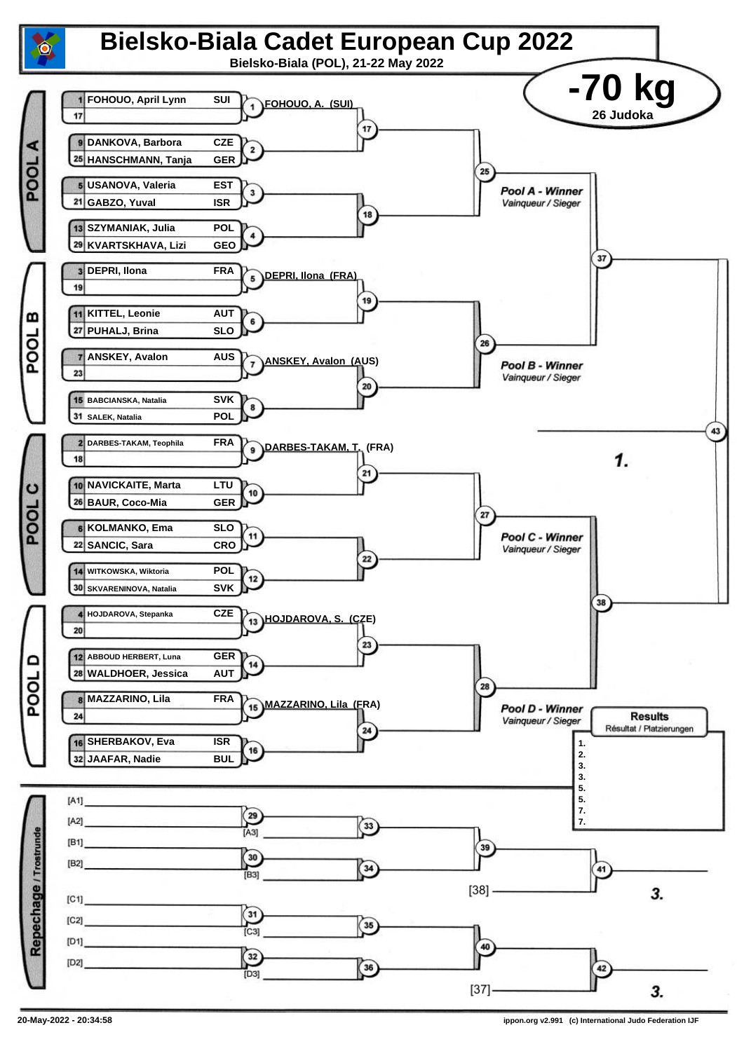